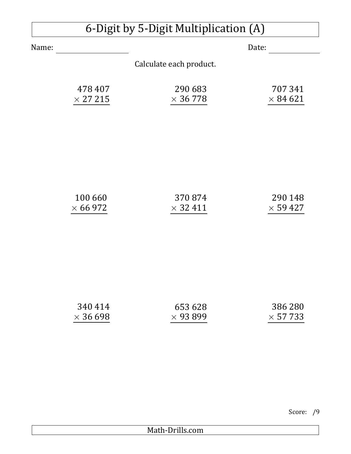## 6-Digit by 5-Digit Multiplication (A)

Name: Date:

Calculate each product.

| 478 407         | 290 683         | 707341          |
|-----------------|-----------------|-----------------|
| $\times$ 27 215 | $\times$ 36 778 | $\times$ 84 621 |

| 100 660         | 370874          | 290 148         |
|-----------------|-----------------|-----------------|
| $\times$ 66 972 | $\times$ 32 411 | $\times$ 59 427 |

| 340 414         | 653 628         | 386 280         |
|-----------------|-----------------|-----------------|
| $\times$ 36 698 | $\times$ 93 899 | $\times$ 57 733 |

Score: /9